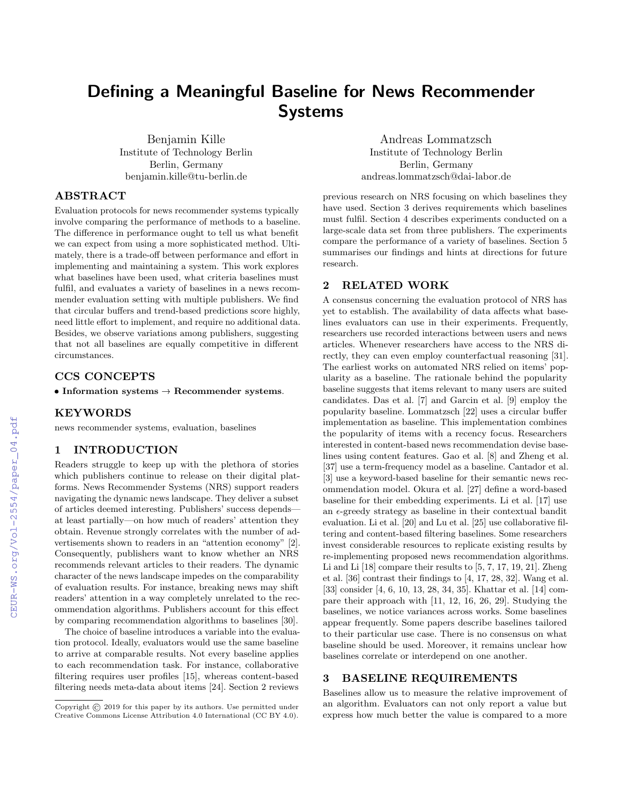# Defining a Meaningful Baseline for News Recommender Systems

Benjamin Kille Institute of Technology Berlin Berlin, Germany benjamin.kille@tu-berlin.de

Andreas Lommatzsch Institute of Technology Berlin Berlin, Germany andreas.lommatzsch@dai-labor.de

# ABSTRACT

Evaluation protocols for news recommender systems typically involve comparing the performance of methods to a baseline. The difference in performance ought to tell us what benefit we can expect from using a more sophisticated method. Ultimately, there is a trade-off between performance and effort in implementing and maintaining a system. This work explores what baselines have been used, what criteria baselines must fulfil, and evaluates a variety of baselines in a news recommender evaluation setting with multiple publishers. We find that circular buffers and trend-based predictions score highly, need little effort to implement, and require no additional data. Besides, we observe variations among publishers, suggesting that not all baselines are equally competitive in different circumstances.

### CCS CONCEPTS

 $\bullet$  Information systems  $\rightarrow$  Recommender systems.

# KEYWORDS

news recommender systems, evaluation, baselines

#### 1 INTRODUCTION

Readers struggle to keep up with the plethora of stories which publishers continue to release on their digital platforms. News Recommender Systems (NRS) support readers navigating the dynamic news landscape. They deliver a subset of articles deemed interesting. Publishers' success depends at least partially—on how much of readers' attention they obtain. Revenue strongly correlates with the number of advertisements shown to readers in an "attention economy" [\[2\]](#page--1-0). Consequently, publishers want to know whether an NRS recommends relevant articles to their readers. The dynamic character of the news landscape impedes on the comparability of evaluation results. For instance, breaking news may shift readers' attention in a way completely unrelated to the recommendation algorithms. Publishers account for this effect by comparing recommendation algorithms to baselines [\[30\]](#page--1-1).

The choice of baseline introduces a variable into the evaluation protocol. Ideally, evaluators would use the same baseline to arrive at comparable results. Not every baseline applies to each recommendation task. For instance, collaborative filtering requires user profiles [\[15\]](#page--1-2), whereas content-based filtering needs meta-data about items [\[24\]](#page--1-3). Section [2](#page-0-0) reviews

previous research on NRS focusing on which baselines they have used. Section [3](#page-0-1) derives requirements which baselines must fulfil. Section [4](#page--1-4) describes experiments conducted on a large-scale data set from three publishers. The experiments compare the performance of a variety of baselines. Section [5](#page--1-5) summarises our findings and hints at directions for future research.

# <span id="page-0-0"></span>2 RELATED WORK

A consensus concerning the evaluation protocol of NRS has yet to establish. The availability of data affects what baselines evaluators can use in their experiments. Frequently, researchers use recorded interactions between users and news articles. Whenever researchers have access to the NRS directly, they can even employ counterfactual reasoning [\[31\]](#page--1-6). The earliest works on automated NRS relied on items' popularity as a baseline. The rationale behind the popularity baseline suggests that items relevant to many users are suited candidates. Das et al. [\[7\]](#page--1-7) and Garcin et al. [\[9\]](#page--1-8) employ the popularity baseline. Lommatzsch [\[22\]](#page--1-9) uses a circular buffer implementation as baseline. This implementation combines the popularity of items with a recency focus. Researchers interested in content-based news recommendation devise baselines using content features. Gao et al. [\[8\]](#page--1-10) and Zheng et al. [\[37\]](#page--1-11) use a term-frequency model as a baseline. Cantador et al. [\[3\]](#page--1-12) use a keyword-based baseline for their semantic news recommendation model. Okura et al. [\[27\]](#page--1-13) define a word-based baseline for their embedding experiments. Li et al. [\[17\]](#page--1-14) use an  $\epsilon$ -greedy strategy as baseline in their contextual bandit evaluation. Li et al. [\[20\]](#page--1-15) and Lu et al. [\[25\]](#page--1-16) use collaborative filtering and content-based filtering baselines. Some researchers invest considerable resources to replicate existing results by re-implementing proposed news recommendation algorithms. Li and Li [\[18\]](#page--1-17) compare their results to [\[5,](#page--1-18) [7,](#page--1-7) [17,](#page--1-14) [19,](#page--1-19) [21\]](#page--1-20). Zheng et al. [\[36\]](#page--1-21) contrast their findings to [\[4,](#page--1-22) [17,](#page--1-14) [28,](#page--1-23) [32\]](#page--1-24). Wang et al. [\[33\]](#page--1-25) consider [\[4,](#page--1-22) [6,](#page--1-26) [10,](#page--1-27) [13,](#page--1-28) [28,](#page--1-23) [34,](#page--1-29) [35\]](#page--1-30). Khattar et al. [\[14\]](#page--1-31) compare their approach with [\[11,](#page--1-32) [12,](#page--1-33) [16,](#page--1-34) [26,](#page--1-35) [29\]](#page--1-36). Studying the baselines, we notice variances across works. Some baselines appear frequently. Some papers describe baselines tailored to their particular use case. There is no consensus on what baseline should be used. Moreover, it remains unclear how baselines correlate or interdepend on one another.

# <span id="page-0-1"></span>3 BASELINE REQUIREMENTS

Baselines allow us to measure the relative improvement of an algorithm. Evaluators can not only report a value but express how much better the value is compared to a more

Copyright © 2019 for this paper by its authors. Use permitted under Creative Commons License Attribution 4.0 International (CC BY 4.0).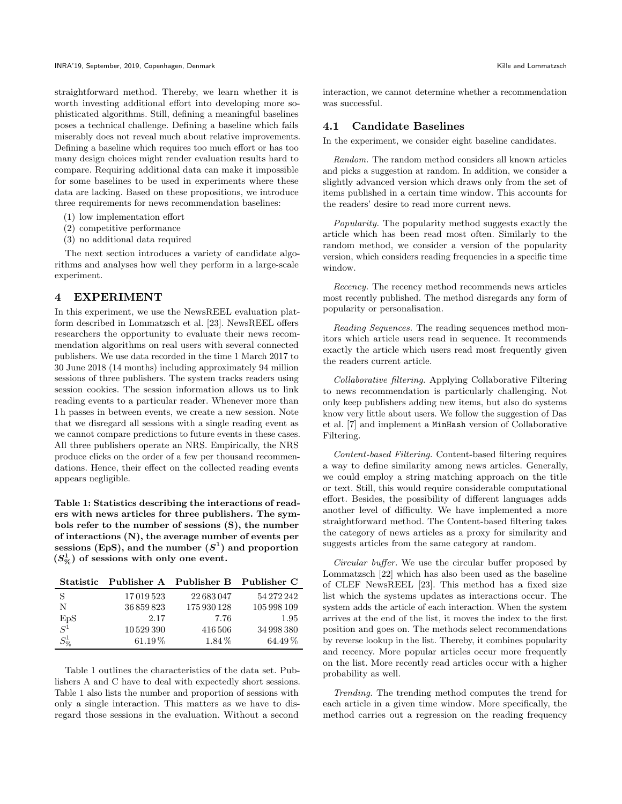straightforward method. Thereby, we learn whether it is worth investing additional effort into developing more sophisticated algorithms. Still, defining a meaningful baselines poses a technical challenge. Defining a baseline which fails miserably does not reveal much about relative improvements. Defining a baseline which requires too much effort or has too many design choices might render evaluation results hard to compare. Requiring additional data can make it impossible for some baselines to be used in experiments where these data are lacking. Based on these propositions, we introduce three requirements for news recommendation baselines:

- (1) low implementation effort
- (2) competitive performance
- (3) no additional data required

The next section introduces a variety of candidate algorithms and analyses how well they perform in a large-scale experiment.

### 4 EXPERIMENT

In this experiment, we use the NewsREEL evaluation platform described in Lommatzsch et al. [\[23\]](#page-4-0). NewsREEL offers researchers the opportunity to evaluate their news recommendation algorithms on real users with several connected publishers. We use data recorded in the time 1 March 2017 to 30 June 2018 (14 months) including approximately 94 million sessions of three publishers. The system tracks readers using session cookies. The session information allows us to link reading events to a particular reader. Whenever more than 1 h passes in between events, we create a new session. Note that we disregard all sessions with a single reading event as we cannot compare predictions to future events in these cases. All three publishers operate an NRS. Empirically, the NRS produce clicks on the order of a few per thousand recommendations. Hence, their effect on the collected reading events appears negligible.

<span id="page-1-0"></span>Table 1: Statistics describing the interactions of readers with news articles for three publishers. The symbols refer to the number of sessions (S), the number of interactions (N), the average number of events per sessions (EpS), and the number  $(S^1)$  and proportion  $(S_{\%}^{1})$  of sessions with only one event.

|                    | Statistic Publisher A Publisher B Publisher C |             |             |
|--------------------|-----------------------------------------------|-------------|-------------|
| <sup>S</sup>       | 17019523                                      | 22683047    | 54 272 242  |
| N                  | 36859823                                      | 175 930 128 | 105 998 109 |
| $_{S^1}^{\rm EpS}$ | 2.17                                          | 7.76        | 1.95        |
|                    | 10529390                                      | 416 506     | 34 998 380  |
| $S^1_{\%}$         | $61.19\%$                                     | $1.84\%$    | $64.49\%$   |

Table [1](#page-1-0) outlines the characteristics of the data set. Publishers A and C have to deal with expectedly short sessions. Table [1](#page-1-0) also lists the number and proportion of sessions with only a single interaction. This matters as we have to disregard those sessions in the evaluation. Without a second

interaction, we cannot determine whether a recommendation was successful.

#### <span id="page-1-1"></span>4.1 Candidate Baselines

In the experiment, we consider eight baseline candidates.

Random. The random method considers all known articles and picks a suggestion at random. In addition, we consider a slightly advanced version which draws only from the set of items published in a certain time window. This accounts for the readers' desire to read more current news.

Popularity. The popularity method suggests exactly the article which has been read most often. Similarly to the random method, we consider a version of the popularity version, which considers reading frequencies in a specific time window.

Recency. The recency method recommends news articles most recently published. The method disregards any form of popularity or personalisation.

Reading Sequences. The reading sequences method monitors which article users read in sequence. It recommends exactly the article which users read most frequently given the readers current article.

Collaborative filtering. Applying Collaborative Filtering to news recommendation is particularly challenging. Not only keep publishers adding new items, but also do systems know very little about users. We follow the suggestion of Das et al. [\[7\]](#page-3-0) and implement a MinHash version of Collaborative Filtering.

Content-based Filtering. Content-based filtering requires a way to define similarity among news articles. Generally, we could employ a string matching approach on the title or text. Still, this would require considerable computational effort. Besides, the possibility of different languages adds another level of difficulty. We have implemented a more straightforward method. The Content-based filtering takes the category of news articles as a proxy for similarity and suggests articles from the same category at random.

Circular buffer. We use the circular buffer proposed by Lommatzsch [\[22\]](#page-4-1) which has also been used as the baseline of CLEF NewsREEL [\[23\]](#page-4-0). This method has a fixed size list which the systems updates as interactions occur. The system adds the article of each interaction. When the system arrives at the end of the list, it moves the index to the first position and goes on. The methods select recommendations by reverse lookup in the list. Thereby, it combines popularity and recency. More popular articles occur more frequently on the list. More recently read articles occur with a higher probability as well.

Trending. The trending method computes the trend for each article in a given time window. More specifically, the method carries out a regression on the reading frequency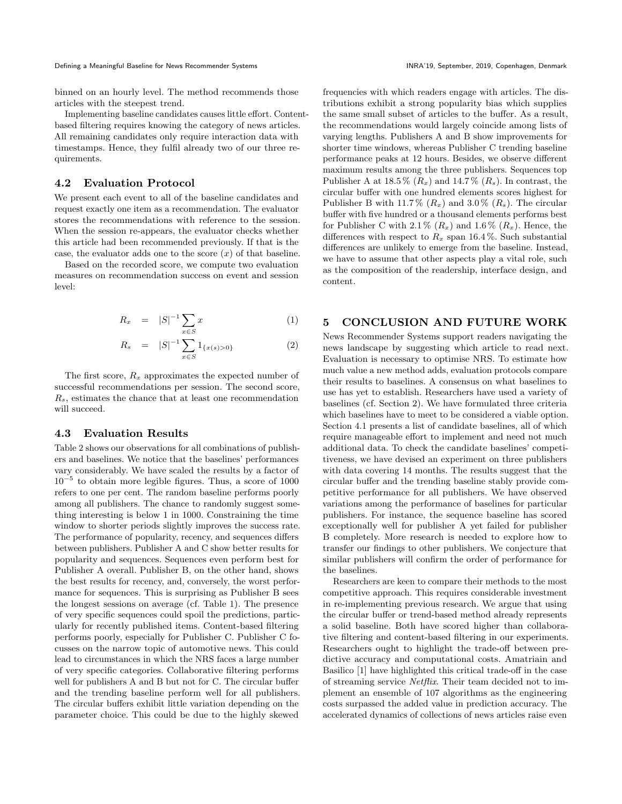binned on an hourly level. The method recommends those articles with the steepest trend.

Implementing baseline candidates causes little effort. Contentbased filtering requires knowing the category of news articles. All remaining candidates only require interaction data with timestamps. Hence, they fulfil already two of our three requirements.

# 4.2 Evaluation Protocol

We present each event to all of the baseline candidates and request exactly one item as a recommendation. The evaluator stores the recommendations with reference to the session. When the session re-appears, the evaluator checks whether this article had been recommended previously. If that is the case, the evaluator adds one to the score  $(x)$  of that baseline.

Based on the recorded score, we compute two evaluation measures on recommendation success on event and session level:

$$
R_x = |S|^{-1} \sum_{x \in S} x \tag{1}
$$

$$
R_s = |S|^{-1} \sum_{x \in S} 1_{\{x(s) > 0\}} \tag{2}
$$

The first score,  $R_x$  approximates the expected number of successful recommendations per session. The second score,  $R_s$ , estimates the chance that at least one recommendation will succeed.

#### 4.3 Evaluation Results

Table [2](#page-3-1) shows our observations for all combinations of publishers and baselines. We notice that the baselines' performances vary considerably. We have scaled the results by a factor of 10<sup>−</sup><sup>5</sup> to obtain more legible figures. Thus, a score of 1000 refers to one per cent. The random baseline performs poorly among all publishers. The chance to randomly suggest something interesting is below 1 in 1000. Constraining the time window to shorter periods slightly improves the success rate. The performance of popularity, recency, and sequences differs between publishers. Publisher A and C show better results for popularity and sequences. Sequences even perform best for Publisher A overall. Publisher B, on the other hand, shows the best results for recency, and, conversely, the worst performance for sequences. This is surprising as Publisher B sees the longest sessions on average (cf. Table [1\)](#page-1-0). The presence of very specific sequences could spoil the predictions, particularly for recently published items. Content-based filtering performs poorly, especially for Publisher C. Publisher C focusses on the narrow topic of automotive news. This could lead to circumstances in which the NRS faces a large number of very specific categories. Collaborative filtering performs well for publishers A and B but not for C. The circular buffer and the trending baseline perform well for all publishers. The circular buffers exhibit little variation depending on the parameter choice. This could be due to the highly skewed

frequencies with which readers engage with articles. The distributions exhibit a strong popularity bias which supplies the same small subset of articles to the buffer. As a result, the recommendations would largely coincide among lists of varying lengths. Publishers A and B show improvements for shorter time windows, whereas Publisher C trending baseline performance peaks at 12 hours. Besides, we observe different maximum results among the three publishers. Sequences top Publisher A at  $18.5\%$   $(R_x)$  and  $14.7\%$   $(R_s)$ . In contrast, the circular buffer with one hundred elements scores highest for Publisher B with 11.7%  $(R_x)$  and 3.0%  $(R_s)$ . The circular buffer with five hundred or a thousand elements performs best for Publisher C with 2.1 %  $(R_x)$  and 1.6 %  $(R_x)$ . Hence, the differences with respect to  $R_x$  span 16.4%. Such substantial differences are unlikely to emerge from the baseline. Instead, we have to assume that other aspects play a vital role, such as the composition of the readership, interface design, and content.

# 5 CONCLUSION AND FUTURE WORK

News Recommender Systems support readers navigating the news landscape by suggesting which article to read next. Evaluation is necessary to optimise NRS. To estimate how much value a new method adds, evaluation protocols compare their results to baselines. A consensus on what baselines to use has yet to establish. Researchers have used a variety of baselines (cf. Section [2\)](#page--1-37). We have formulated three criteria which baselines have to meet to be considered a viable option. Section [4.1](#page-1-1) presents a list of candidate baselines, all of which require manageable effort to implement and need not much additional data. To check the candidate baselines' competitiveness, we have devised an experiment on three publishers with data covering 14 months. The results suggest that the circular buffer and the trending baseline stably provide competitive performance for all publishers. We have observed variations among the performance of baselines for particular publishers. For instance, the sequence baseline has scored exceptionally well for publisher A yet failed for publisher B completely. More research is needed to explore how to transfer our findings to other publishers. We conjecture that similar publishers will confirm the order of performance for the baselines.

Researchers are keen to compare their methods to the most competitive approach. This requires considerable investment in re-implementing previous research. We argue that using the circular buffer or trend-based method already represents a solid baseline. Both have scored higher than collaborative filtering and content-based filtering in our experiments. Researchers ought to highlight the trade-off between predictive accuracy and computational costs. Amatriain and Basilico [\[1\]](#page-3-2) have highlighted this critical trade-off in the case of streaming service Netflix. Their team decided not to implement an ensemble of 107 algorithms as the engineering costs surpassed the added value in prediction accuracy. The accelerated dynamics of collections of news articles raise even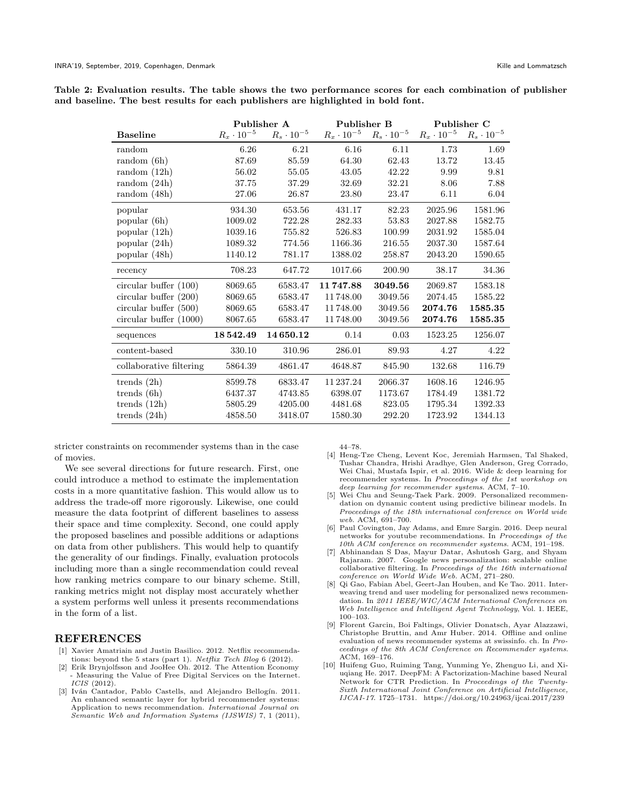<span id="page-3-1"></span>

|  |  |  |  | Table 2: Evaluation results. The table shows the two performance scores for each combination of publisher |  |  |  |
|--|--|--|--|-----------------------------------------------------------------------------------------------------------|--|--|--|
|  |  |  |  | and baseline. The best results for each publishers are highlighted in bold font.                          |  |  |  |

|                          | Publisher A         |                     | Publisher B         |                     | Publisher C         |                     |  |  |
|--------------------------|---------------------|---------------------|---------------------|---------------------|---------------------|---------------------|--|--|
| <b>Baseline</b>          | $R_x \cdot 10^{-5}$ | $R_s \cdot 10^{-5}$ | $R_x \cdot 10^{-5}$ | $R_s \cdot 10^{-5}$ | $R_x \cdot 10^{-5}$ | $R_s \cdot 10^{-5}$ |  |  |
| random                   | 6.26                | 6.21                | 6.16                | 6.11                | 1.73                | 1.69                |  |  |
| random(6h)               | 87.69               | 85.59               | 64.30               | 62.43               | 13.72               | 13.45               |  |  |
| random(12h)              | 56.02               | 55.05               | 43.05               | 42.22               | 9.99                | 9.81                |  |  |
| random(24h)              | 37.75               | 37.29               | 32.69               | 32.21               | 8.06                | 7.88                |  |  |
| random (48h)             | 27.06               | 26.87               | 23.80               | 23.47               | 6.11                | 6.04                |  |  |
| popular                  | 934.30              | 653.56              | 431.17              | 82.23               | 2025.96             | 1581.96             |  |  |
| popular (6h)             | 1009.02             | 722.28              | 282.33              | 53.83               | 2027.88             | 1582.75             |  |  |
| popular (12h)            | 1039.16             | 755.82              | 526.83              | 100.99              | 2031.92             | 1585.04             |  |  |
| popular $(24h)$          | 1089.32             | 774.56              | 1166.36             | 216.55              | 2037.30             | 1587.64             |  |  |
| popular (48h)            | 1140.12             | 781.17              | 1388.02             | 258.87              | 2043.20             | 1590.65             |  |  |
| recency                  | 708.23              | 647.72              | 1017.66             | 200.90              | 38.17               | 34.36               |  |  |
| circular buffer $(100)$  | 8069.65             | 6583.47             | 11747.88            | 3049.56             | 2069.87             | 1583.18             |  |  |
| circular buffer $(200)$  | 8069.65             | 6583.47             | 11748.00            | 3049.56             | 2074.45             | 1585.22             |  |  |
| circular buffer (500)    | 8069.65             | 6583.47             | 11748.00            | 3049.56             | 2074.76             | 1585.35             |  |  |
| circular buffer $(1000)$ | 8067.65             | 6583.47             | 11748.00            | 3049.56             | 2074.76             | 1585.35             |  |  |
| sequences                | 18542.49            | 14650.12            | 0.14                | 0.03                | 1523.25             | 1256.07             |  |  |
| content-based            | 330.10              | 310.96              | 286.01              | 89.93               | 4.27                | 4.22                |  |  |
| collaborative filtering  | 5864.39             | 4861.47             | 4648.87             | 845.90              | 132.68              | 116.79              |  |  |
| trends $(2h)$            | 8599.78             | 6833.47             | 11 237.24           | 2066.37             | 1608.16             | 1246.95             |  |  |
| trends $(6h)$            | 6437.37             | 4743.85             | 6398.07             | 1173.67             | 1784.49             | 1381.72             |  |  |
| trends $(12h)$           | 5805.29             | 4205.00             | 4481.68             | 823.05              | 1795.34             | 1392.33             |  |  |
| trends $(24h)$           | 4858.50             | 3418.07             | 1580.30             | 292.20              | 1723.92             | 1344.13             |  |  |

stricter constraints on recommender systems than in the case of movies.

We see several directions for future research. First, one could introduce a method to estimate the implementation costs in a more quantitative fashion. This would allow us to address the trade-off more rigorously. Likewise, one could measure the data footprint of different baselines to assess their space and time complexity. Second, one could apply the proposed baselines and possible additions or adaptions on data from other publishers. This would help to quantify the generality of our findings. Finally, evaluation protocols including more than a single recommendation could reveal how ranking metrics compare to our binary scheme. Still, ranking metrics might not display most accurately whether a system performs well unless it presents recommendations in the form of a list.

#### REFERENCES

- <span id="page-3-2"></span>[1] Xavier Amatriain and Justin Basilico. 2012. Netflix recommendations: beyond the 5 stars (part 1). Netflix Tech Blog 6 (2012).
- [2] Erik Brynjolfsson and JooHee Oh. 2012. The Attention Economy - Measuring the Value of Free Digital Services on the Internet. ICIS (2012).
- [3] Iván Cantador, Pablo Castells, and Alejandro Bellogín. 2011. An enhanced semantic layer for hybrid recommender systems: Application to news recommendation. International Journal on Semantic Web and Information Systems (IJSWIS) 7, 1 (2011),

44–78.

- [4] Heng-Tze Cheng, Levent Koc, Jeremiah Harmsen, Tal Shaked, Tushar Chandra, Hrishi Aradhye, Glen Anderson, Greg Corrado, Wei Chai, Mustafa Ispir, et al. 2016. Wide & deep learning for recommender systems. In Proceedings of the 1st workshop on deep learning for recommender systems. ACM, 7–10.
- [5] Wei Chu and Seung-Taek Park. 2009. Personalized recommendation on dynamic content using predictive bilinear models. In Proceedings of the 18th international conference on World wide web. ACM, 691–700.
- [6] Paul Covington, Jay Adams, and Emre Sargin. 2016. Deep neural networks for youtube recommendations. In Proceedings of the 10th ACM conference on recommender systems. ACM, 191–198.
- <span id="page-3-0"></span>[7] Abhinandan S Das, Mayur Datar, Ashutosh Garg, and Shyam Rajaram. 2007. Google news personalization: scalable online collaborative filtering. In Proceedings of the 16th international conference on World Wide Web. ACM, 271–280.
- [8] Qi Gao, Fabian Abel, Geert-Jan Houben, and Ke Tao. 2011. Interweaving trend and user modeling for personalized news recommendation. In 2011 IEEE/WIC/ACM International Conferences on Web Intelligence and Intelligent Agent Technology, Vol. 1. IEEE, 100–103.
- [9] Florent Garcin, Boi Faltings, Olivier Donatsch, Ayar Alazzawi, Christophe Bruttin, and Amr Huber. 2014. Offline and online evaluation of news recommender systems at swissinfo. ch. In Proceedings of the 8th ACM Conference on Recommender systems. ACM, 169–176.
- [10] Huifeng Guo, Ruiming Tang, Yunming Ye, Zhenguo Li, and Xiuqiang He. 2017. DeepFM: A Factorization-Machine based Neural Network for CTR Prediction. In Proceedings of the Twenty-Sixth International Joint Conference on Artificial Intelligence, IJCAI-17. 1725–1731.<https://doi.org/10.24963/ijcai.2017/239>